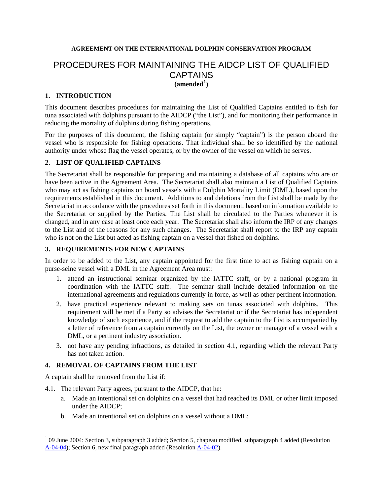## **AGREEMENT ON THE INTERNATIONAL DOLPHIN CONSERVATION PROGRAM**

# PROCEDURES FOR MAINTAINING THE AIDCP LIST OF QUALIFIED CAPTAINS  $(amended<sup>1</sup>)$  $(amended<sup>1</sup>)$  $(amended<sup>1</sup>)$

#### **1. INTRODUCTION**

This document describes procedures for maintaining the List of Qualified Captains entitled to fish for tuna associated with dolphins pursuant to the AIDCP ("the List"), and for monitoring their performance in reducing the mortality of dolphins during fishing operations.

For the purposes of this document, the fishing captain (or simply "captain") is the person aboard the vessel who is responsible for fishing operations. That individual shall be so identified by the national authority under whose flag the vessel operates, or by the owner of the vessel on which he serves.

#### **2. LIST OF QUALIFIED CAPTAINS**

The Secretariat shall be responsible for preparing and maintaining a database of all captains who are or have been active in the Agreement Area. The Secretariat shall also maintain a List of Qualified Captains who may act as fishing captains on board vessels with a Dolphin Mortality Limit (DML), based upon the requirements established in this document. Additions to and deletions from the List shall be made by the Secretariat in accordance with the procedures set forth in this document, based on information available to the Secretariat or supplied by the Parties. The List shall be circulated to the Parties whenever it is changed, and in any case at least once each year. The Secretariat shall also inform the IRP of any changes to the List and of the reasons for any such changes. The Secretariat shall report to the IRP any captain who is not on the List but acted as fishing captain on a vessel that fished on dolphins.

## **3. REQUIREMENTS FOR NEW CAPTAINS**

In order to be added to the List, any captain appointed for the first time to act as fishing captain on a purse-seine vessel with a DML in the Agreement Area must:

- 1. attend an instructional seminar organized by the IATTC staff, or by a national program in coordination with the IATTC staff. The seminar shall include detailed information on the international agreements and regulations currently in force, as well as other pertinent information.
- 2. have practical experience relevant to making sets on tunas associated with dolphins. This requirement will be met if a Party so advises the Secretariat or if the Secretariat has independent knowledge of such experience, and if the request to add the captain to the List is accompanied by a letter of reference from a captain currently on the List, the owner or manager of a vessel with a DML, or a pertinent industry association.
- 3. not have any pending infractions, as detailed in section 4.1, regarding which the relevant Party has not taken action.

## **4. REMOVAL OF CAPTAINS FROM THE LIST**

A captain shall be removed from the List if:

 $\overline{a}$ 

- 4.1. The relevant Party agrees, pursuant to the AIDCP, that he:
	- a. Made an intentional set on dolphins on a vessel that had reached its DML or other limit imposed under the AIDCP;
	- b. Made an intentional set on dolphins on a vessel without a DML;

<span id="page-0-0"></span> $1$  09 June 2004: Section 3, subparagraph 3 added; Section 5, chapeau modified, subparagraph 4 added (Resolution A-04-04); Section 6, new final paragraph added (Resolution A-04-02).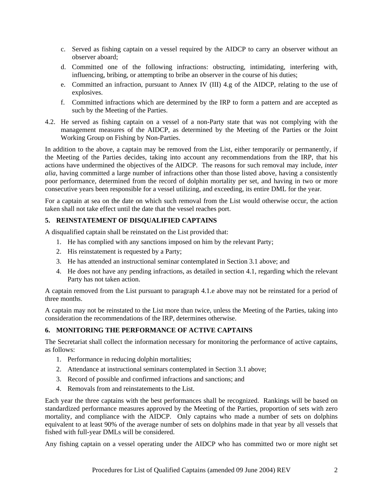- c. Served as fishing captain on a vessel required by the AIDCP to carry an observer without an observer aboard;
- d. Committed one of the following infractions: obstructing, intimidating, interfering with, influencing, bribing, or attempting to bribe an observer in the course of his duties;
- e. Committed an infraction, pursuant to Annex IV (III) 4.g of the AIDCP, relating to the use of explosives.
- f. Committed infractions which are determined by the IRP to form a pattern and are accepted as such by the Meeting of the Parties.
- 4.2. He served as fishing captain on a vessel of a non-Party state that was not complying with the management measures of the AIDCP, as determined by the Meeting of the Parties or the Joint Working Group on Fishing by Non-Parties.

In addition to the above, a captain may be removed from the List, either temporarily or permanently, if the Meeting of the Parties decides, taking into account any recommendations from the IRP, that his actions have undermined the objectives of the AIDCP. The reasons for such removal may include, *inter alia*, having committed a large number of infractions other than those listed above, having a consistently poor performance, determined from the record of dolphin mortality per set, and having in two or more consecutive years been responsible for a vessel utilizing, and exceeding, its entire DML for the year.

For a captain at sea on the date on which such removal from the List would otherwise occur, the action taken shall not take effect until the date that the vessel reaches port.

## **5. REINSTATEMENT OF DISQUALIFIED CAPTAINS**

A disqualified captain shall be reinstated on the List provided that:

- 1. He has complied with any sanctions imposed on him by the relevant Party;
- 2. His reinstatement is requested by a Party;
- 3. He has attended an instructional seminar contemplated in Section 3.1 above; and
- 4. He does not have any pending infractions, as detailed in section 4.1, regarding which the relevant Party has not taken action.

A captain removed from the List pursuant to paragraph 4.1.e above may not be reinstated for a period of three months.

A captain may not be reinstated to the List more than twice, unless the Meeting of the Parties, taking into consideration the recommendations of the IRP, determines otherwise.

## **6. MONITORING THE PERFORMANCE OF ACTIVE CAPTAINS**

The Secretariat shall collect the information necessary for monitoring the performance of active captains, as follows:

- 1. Performance in reducing dolphin mortalities;
- 2. Attendance at instructional seminars contemplated in Section 3.1 above;
- 3. Record of possible and confirmed infractions and sanctions; and
- 4. Removals from and reinstatements to the List.

Each year the three captains with the best performances shall be recognized. Rankings will be based on standardized performance measures approved by the Meeting of the Parties, proportion of sets with zero mortality, and compliance with the AIDCP. Only captains who made a number of sets on dolphins equivalent to at least 90% of the average number of sets on dolphins made in that year by all vessels that fished with full-year DMLs will be considered.

Any fishing captain on a vessel operating under the AIDCP who has committed two or more night set